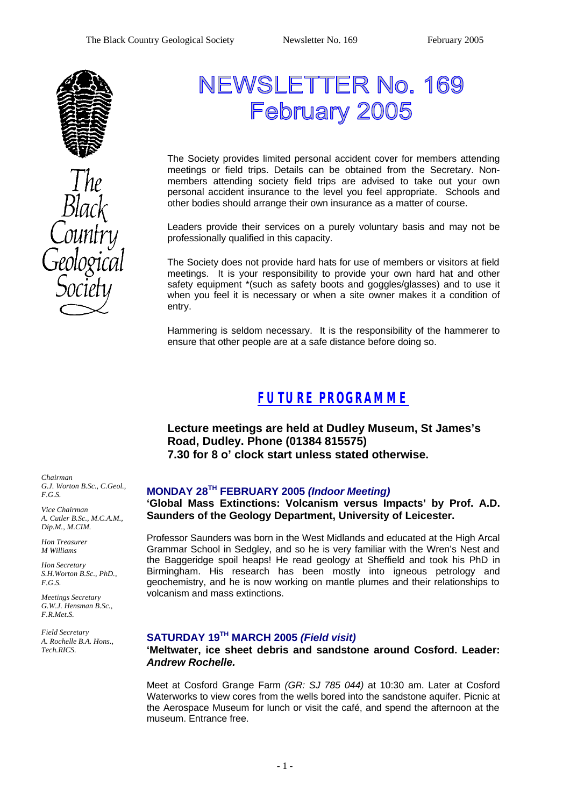

# NEWSLETTER No. 169 February 2005

The Society provides limited personal accident cover for members attending meetings or field trips. Details can be obtained from the Secretary. Nonmembers attending society field trips are advised to take out your own personal accident insurance to the level you feel appropriate. Schools and other bodies should arrange their own insurance as a matter of course.

Leaders provide their services on a purely voluntary basis and may not be professionally qualified in this capacity.

The Society does not provide hard hats for use of members or visitors at field meetings. It is your responsibility to provide your own hard hat and other safety equipment \*(such as safety boots and goggles/glasses) and to use it when you feel it is necessary or when a site owner makes it a condition of entry.

Hammering is seldom necessary. It is the responsibility of the hammerer to ensure that other people are at a safe distance before doing so.

### *FUTURE PROGRAMME*

**Lecture meetings are held at Dudley Museum, St James's Road, Dudley. Phone (01384 815575) 7.30 for 8 o' clock start unless stated otherwise.**

*Chairman G.J. Worton B.Sc., C.Geol., F.G.S.*

*Vice Chairman A. Cutler B.Sc., M.C.A.M., Dip.M., M.CIM.*

*Hon Treasurer M Williams* 

*Hon Secretary S.H.Worton B.Sc., PhD., F.G.S.*

*Meetings Secretary G.W.J. Hensman B.Sc., F.R.Met.S.*

*Field Secretary A. Rochelle B.A. Hons., Tech.RICS.*

#### **MONDAY 28TH FEBRUARY 2005** *(Indoor Meeting)*

**'Global Mass Extinctions: Volcanism versus Impacts' by Prof. A.D. Saunders of the Geology Department, University of Leicester.**

Professor Saunders was born in the West Midlands and educated at the High Arcal Grammar School in Sedgley, and so he is very familiar with the Wren's Nest and the Baggeridge spoil heaps! He read geology at Sheffield and took his PhD in Birmingham. His research has been mostly into igneous petrology and geochemistry, and he is now working on mantle plumes and their relationships to volcanism and mass extinctions.

### **SATURDAY 19TH MARCH 2005** *(Field visit)*

**'Meltwater, ice sheet debris and sandstone around Cosford. Leader:** *Andrew Rochelle.*

Meet at Cosford Grange Farm *(GR: SJ 785 044)* at 10:30 am. Later at Cosford Waterworks to view cores from the wells bored into the sandstone aquifer. Picnic at the Aerospace Museum for lunch or visit the café, and spend the afternoon at the museum. Entrance free.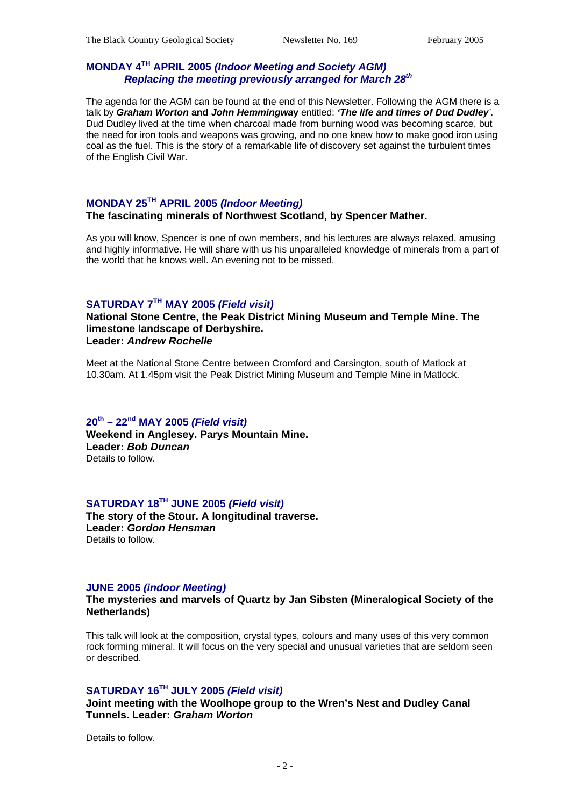### **MONDAY 4TH APRIL 2005** *(Indoor Meeting and Society AGM) Replacing the meeting previously arranged for March 28th*

The agenda for the AGM can be found at the end of this Newsletter. Following the AGM there is a talk by *Graham Worton* **and** *John Hemmingwa***y** entitled: *'The life and times of Dud Dudley'*. Dud Dudley lived at the time when charcoal made from burning wood was becoming scarce, but the need for iron tools and weapons was growing, and no one knew how to make good iron using coal as the fuel. This is the story of a remarkable life of discovery set against the turbulent times of the English Civil War.

### **MONDAY 25TH APRIL 2005** *(Indoor Meeting)*

#### **The fascinating minerals of Northwest Scotland, by Spencer Mather.**

As you will know, Spencer is one of own members, and his lectures are always relaxed, amusing and highly informative. He will share with us his unparalleled knowledge of minerals from a part of the world that he knows well. An evening not to be missed.

### **SATURDAY 7TH MAY 2005** *(Field visit)*

**National Stone Centre, the Peak District Mining Museum and Temple Mine. The limestone landscape of Derbyshire. Leader:** *Andrew Rochelle*

Meet at the National Stone Centre between Cromford and Carsington, south of Matlock at 10.30am. At 1.45pm visit the Peak District Mining Museum and Temple Mine in Matlock.

#### **20th – 22nd MAY 2005** *(Field visit)* **Weekend in Anglesey. Parys Mountain Mine. Leader:** *Bob Duncan* Details to follow.

### **SATURDAY 18TH JUNE 2005** *(Field visit)*

**The story of the Stour. A longitudinal traverse. Leader:** *Gordon Hensman* Details to follow.

#### **JUNE 2005** *(indoor Meeting)*

#### **The mysteries and marvels of Quartz by Jan Sibsten (Mineralogical Society of the Netherlands)**

This talk will look at the composition, crystal types, colours and many uses of this very common rock forming mineral. It will focus on the very special and unusual varieties that are seldom seen or described.

#### **SATURDAY 16TH JULY 2005** *(Field visit)*

**Joint meeting with the Woolhope group to the Wren's Nest and Dudley Canal Tunnels. Leader:** *Graham Worton*

Details to follow.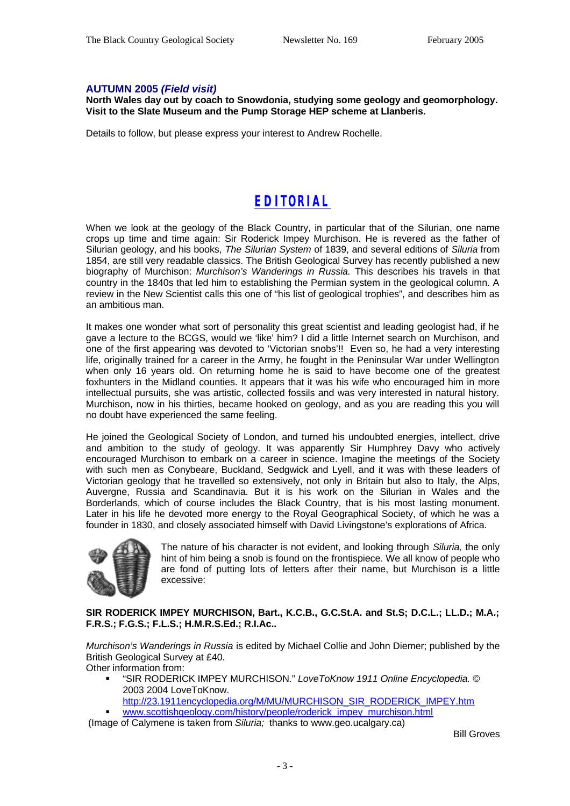#### **AUTUMN 2005** *(Field visit)*

**North Wales day out by coach to Snowdonia, studying some geology and geomorphology. Visit to the Slate Museum and the Pump Storage HEP scheme at Llanberis.**

Details to follow, but please express your interest to Andrew Rochelle.

# *EDITORIAL*

When we look at the geology of the Black Country, in particular that of the Silurian, one name crops up time and time again: Sir Roderick Impey Murchison. He is revered as the father of Silurian geology, and his books, *The Silurian System* of 1839, and several editions of *Siluria* from 1854, are still very readable classics. The British Geological Survey has recently published a new biography of Murchison: *Murchison's Wanderings in Russia.* This describes his travels in that country in the 1840s that led him to establishing the Permian system in the geological column. A review in the New Scientist calls this one of "his list of geological trophies", and describes him as an ambitious man.

It makes one wonder what sort of personality this great scientist and leading geologist had, if he gave a lecture to the BCGS, would we 'like' him? I did a little Internet search on Murchison, and one of the first appearing was devoted to 'Victorian snobs'!! Even so, he had a very interesting life, originally trained for a career in the Army, he fought in the Peninsular War under Wellington when only 16 years old. On returning home he is said to have become one of the greatest foxhunters in the Midland counties. It appears that it was his wife who encouraged him in more intellectual pursuits, she was artistic, collected fossils and was very interested in natural history. Murchison, now in his thirties, became hooked on geology, and as you are reading this you will no doubt have experienced the same feeling.

He joined the Geological Society of London, and turned his undoubted energies, intellect, drive and ambition to the study of geology. It was apparently Sir Humphrey Davy who actively encouraged Murchison to embark on a career in science. Imagine the meetings of the Society with such men as Conybeare, Buckland, Sedgwick and Lyell, and it was with these leaders of Victorian geology that he travelled so extensively, not only in Britain but also to Italy, the Alps, Auvergne, Russia and Scandinavia. But it is his work on the Silurian in Wales and the Borderlands, which of course includes the Black Country, that is his most lasting monument. Later in his life he devoted more energy to the Royal Geographical Society, of which he was a founder in 1830, and closely associated himself with David Livingstone's explorations of Africa.



The nature of his character is not evident, and looking through *Siluria,* the only hint of him being a snob is found on the frontispiece. We all know of people who are fond of putting lots of letters after their name, but Murchison is a little excessive:

**SIR RODERICK IMPEY MURCHISON, Bart., K.C.B., G.C.St.A. and St.S; D.C.L.; LL.D.; M.A.; F.R.S.; F.G.S.; F.L.S.; H.M.R.S.Ed.; R.I.Ac..**

*Murchison's Wanderings in Russia* is edited by Michael Collie and John Diemer; published by the British Geological Survey at £40.

Other information from:

- ß "SIR RODERICK IMPEY MURCHISON." *LoveToKnow 1911 Online Encyclopedia.* © 2003 2004 LoveToKnow.
	- http://23.1911encyclopedia.org/M/MU/MURCHISON\_SIR\_RODERICK\_IMPEY.htm
- www.scottishgeology.com/history/people/roderick\_impey\_murchison.html

(Image of Calymene is taken from *Siluria;* thanks to www.geo.ucalgary.ca)

Bill Groves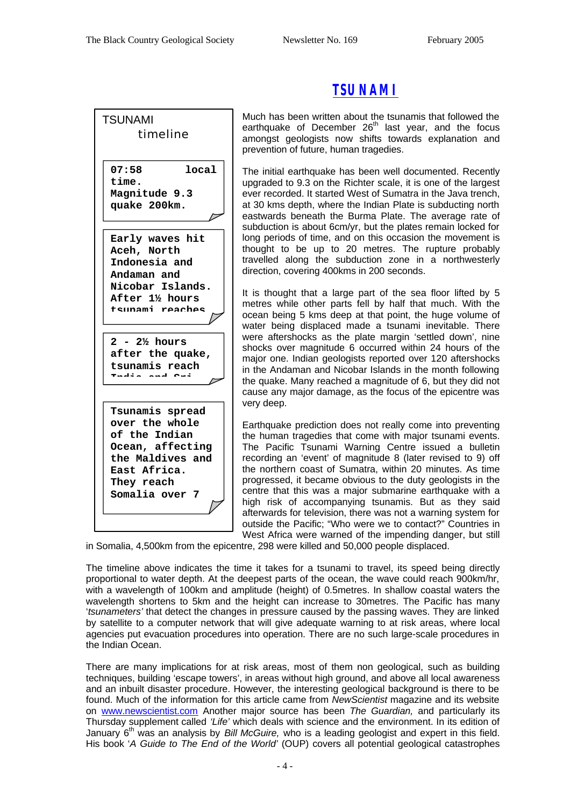| <b>TSUNAMI</b>               |
|------------------------------|
| timeline                     |
|                              |
| 07:58<br>local               |
| time.                        |
| Magnitude 9.3                |
| quake 200km.                 |
|                              |
| Early waves hit              |
| Aceh, North                  |
| Indonesia and<br>Andaman and |
| Nicobar Islands.             |
| After 11/2 hours             |
| tsunami reaches              |
|                              |
|                              |
| $2 - 2\frac{1}{2}$ hours     |
| after the quake,             |
| tsunamis reach               |
|                              |
|                              |
| Tsunamis spread              |
| over the whole               |
| of the Indian                |
| Ocean, affecting             |
| the Maldives and             |
| East Africa.                 |
| They reach                   |
| Somalia over 7               |

### *TSUNAMI*

Much has been written about the tsunamis that followed the earthquake of December  $26<sup>th</sup>$  last year, and the focus amongst geologists now shifts towards explanation and prevention of future, human tragedies.

The initial earthquake has been well documented. Recently upgraded to 9.3 on the Richter scale, it is one of the largest ever recorded. It started West of Sumatra in the Java trench, at 30 kms depth, where the Indian Plate is subducting north eastwards beneath the Burma Plate. The average rate of subduction is about 6cm/yr, but the plates remain locked for long periods of time, and on this occasion the movement is thought to be up to 20 metres. The rupture probably travelled along the subduction zone in a northwesterly direction, covering 400kms in 200 seconds.

It is thought that a large part of the sea floor lifted by 5 metres while other parts fell by half that much. With the ocean being 5 kms deep at that point, the huge volume of water being displaced made a tsunami inevitable. There were aftershocks as the plate margin 'settled down', nine shocks over magnitude 6 occurred within 24 hours of the major one. Indian geologists reported over 120 aftershocks in the Andaman and Nicobar Islands in the month following the quake. Many reached a magnitude of 6, but they did not cause any major damage, as the focus of the epicentre was very deep.

Earthquake prediction does not really come into preventing the human tragedies that come with major tsunami events. The Pacific Tsunami Warning Centre issued a bulletin recording an 'event' of magnitude 8 (later revised to 9) off the northern coast of Sumatra, within 20 minutes. As time progressed, it became obvious to the duty geologists in the centre that this was a major submarine earthquake with a high risk of accompanying tsunamis. But as they said afterwards for television, there was not a warning system for outside the Pacific; "Who were we to contact?" Countries in West Africa were warned of the impending danger, but still

in Somalia, 4,500km from the epicentre, 298 were killed and 50,000 people displaced.

The timeline above indicates the time it takes for a tsunami to travel, its speed being directly proportional to water depth. At the deepest parts of the ocean, the wave could reach 900km/hr, with a wavelength of 100km and amplitude (height) of 0.5metres. In shallow coastal waters the wavelength shortens to 5km and the height can increase to 30metres. The Pacific has many '*tsunameters'* that detect the changes in pressure caused by the passing waves. They are linked by satellite to a computer network that will give adequate warning to at risk areas, where local agencies put evacuation procedures into operation. There are no such large-scale procedures in the Indian Ocean.

There are many implications for at risk areas, most of them non geological, such as building techniques, building 'escape towers', in areas without high ground, and above all local awareness and an inbuilt disaster procedure. However, the interesting geological background is there to be found. Much of the information for this article came from *NewScientist* magazine and its website on www.newscientist.com Another major source has been *The Guardian,* and particularly its Thursday supplement called *'Life'* which deals with science and the environment. In its edition of January 6 th was an analysis by *Bill McGuire,* who is a leading geologist and expert in this field. His book '*A Guide to The End of the World'* (OUP) covers all potential geological catastrophes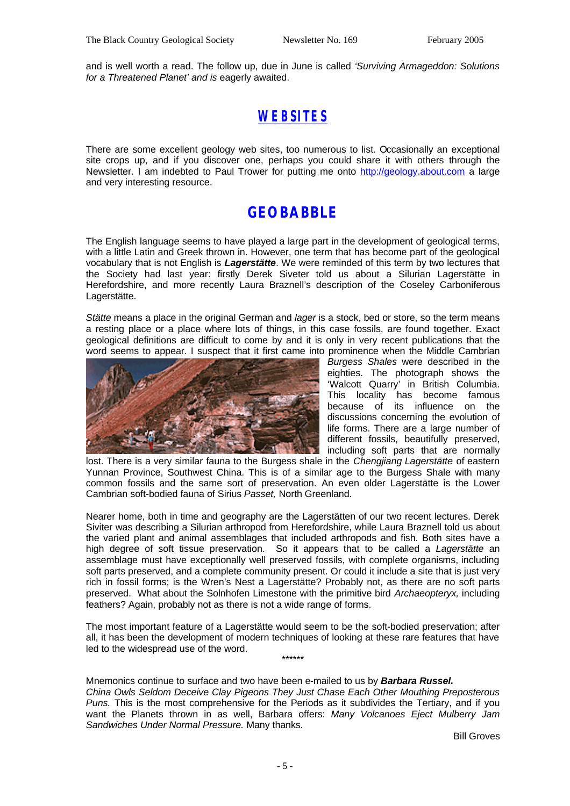and is well worth a read. The follow up, due in June is called *'Surviving Armageddon: Solutions for a Threatened Planet' and is* eagerly awaited.

### *WEBSITES*

There are some excellent geology web sites, too numerous to list. Occasionally an exceptional site crops up, and if you discover one, perhaps you could share it with others through the Newsletter. I am indebted to Paul Trower for putting me onto http://geology.about.com a large and very interesting resource.

### **GEOBABBLE**

The English language seems to have played a large part in the development of geological terms, with a little Latin and Greek thrown in. However, one term that has become part of the geological vocabulary that is not English is *Lagerstätte*. We were reminded of this term by two lectures that the Society had last year: firstly Derek Siveter told us about a Silurian Lagerstätte in Herefordshire, and more recently Laura Braznell's description of the Coseley Carboniferous Lagerstätte.

*Stätte* means a place in the original German and *lager* is a stock, bed or store, so the term means a resting place or a place where lots of things, in this case fossils, are found together. Exact geological definitions are difficult to come by and it is only in very recent publications that the word seems to appear. I suspect that it first came into prominence when the Middle Cambrian



*Burgess Shales* were described in the eighties. The photograph shows the 'Walcott Quarry' in British Columbia. This locality has become famous because of its influence on the discussions concerning the evolution of life forms. There are a large number of different fossils, beautifully preserved, including soft parts that are normally

lost. There is a very similar fauna to the Burgess shale in the *Chengjiang Lagerstätte* of eastern Yunnan Province, Southwest China. This is of a similar age to the Burgess Shale with many common fossils and the same sort of preservation. An even older Lagerstätte is the Lower Cambrian soft-bodied fauna of Sirius *Passet,* North Greenland.

Nearer home, both in time and geography are the Lagerstätten of our two recent lectures. Derek Siviter was describing a Silurian arthropod from Herefordshire, while Laura Braznell told us about the varied plant and animal assemblages that included arthropods and fish. Both sites have a high degree of soft tissue preservation. So it appears that to be called a *Lagerstätte* an assemblage must have exceptionally well preserved fossils, with complete organisms, including soft parts preserved, and a complete community present. Or could it include a site that is just very rich in fossil forms; is the Wren's Nest a Lagerstätte? Probably not, as there are no soft parts preserved. What about the Solnhofen Limestone with the primitive bird *Archaeopteryx,* including feathers? Again, probably not as there is not a wide range of forms.

The most important feature of a Lagerstätte would seem to be the soft-bodied preservation; after all, it has been the development of modern techniques of looking at these rare features that have led to the widespread use of the word.

\*\*\*\*\*\*

Mnemonics continue to surface and two have been e-mailed to us by *Barbara Russel. China Owls Seldom Deceive Clay Pigeons They Just Chase Each Other Mouthing Preposterous Puns.* This is the most comprehensive for the Periods as it subdivides the Tertiary, and if you want the Planets thrown in as well, Barbara offers: *Many Volcanoes Eject Mulberry Jam Sandwiches Under Normal Pressure.* Many thanks.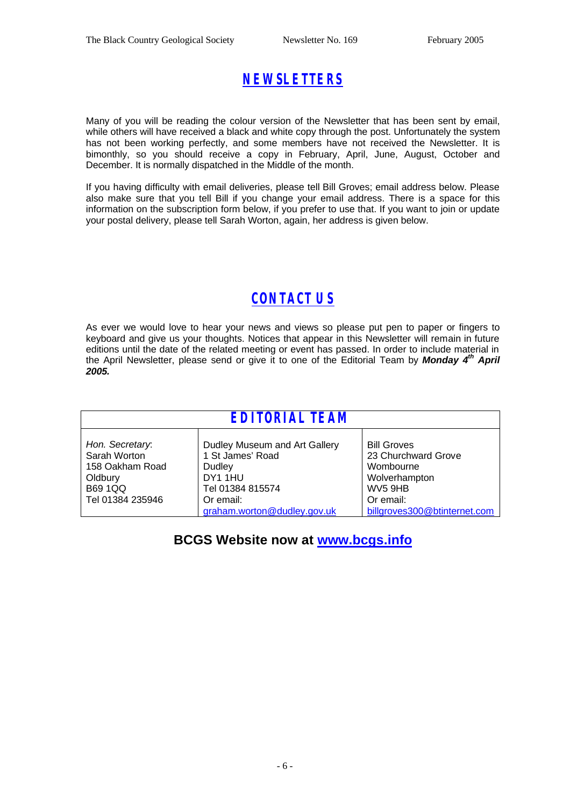# *NEWSLETTERS*

Many of you will be reading the colour version of the Newsletter that has been sent by email, while others will have received a black and white copy through the post. Unfortunately the system has not been working perfectly, and some members have not received the Newsletter. It is bimonthly, so you should receive a copy in February, April, June, August, October and December. It is normally dispatched in the Middle of the month.

If you having difficulty with email deliveries, please tell Bill Groves; email address below. Please also make sure that you tell Bill if you change your email address. There is a space for this information on the subscription form below, if you prefer to use that. If you want to join or update your postal delivery, please tell Sarah Worton, again, her address is given below.

# *CONTACT US*

As ever we would love to hear your news and views so please put pen to paper or fingers to keyboard and give us your thoughts. Notices that appear in this Newsletter will remain in future editions until the date of the related meeting or event has passed. In order to include material in the April Newsletter, please send or give it to one of the Editorial Team by *Monday 4 th April 2005.*

| <b>EDITORIAL TEAM</b>                                                                               |                                                                                                                                        |                                                                                                                                 |  |  |
|-----------------------------------------------------------------------------------------------------|----------------------------------------------------------------------------------------------------------------------------------------|---------------------------------------------------------------------------------------------------------------------------------|--|--|
| Hon. Secretary.<br>Sarah Worton<br>158 Oakham Road<br>Oldbury<br><b>B69 1QQ</b><br>Tel 01384 235946 | Dudley Museum and Art Gallery<br>1 St James' Road<br>Dudley<br>DY1 1HU<br>Tel 01384 815574<br>Or email:<br>graham.worton@dudley.gov.uk | <b>Bill Groves</b><br>23 Churchward Grove<br>Wombourne<br>Wolverhampton<br>WV5 9HB<br>Or email:<br>billgroves300@btinternet.com |  |  |

### **BCGS Website now at www.bcgs.info**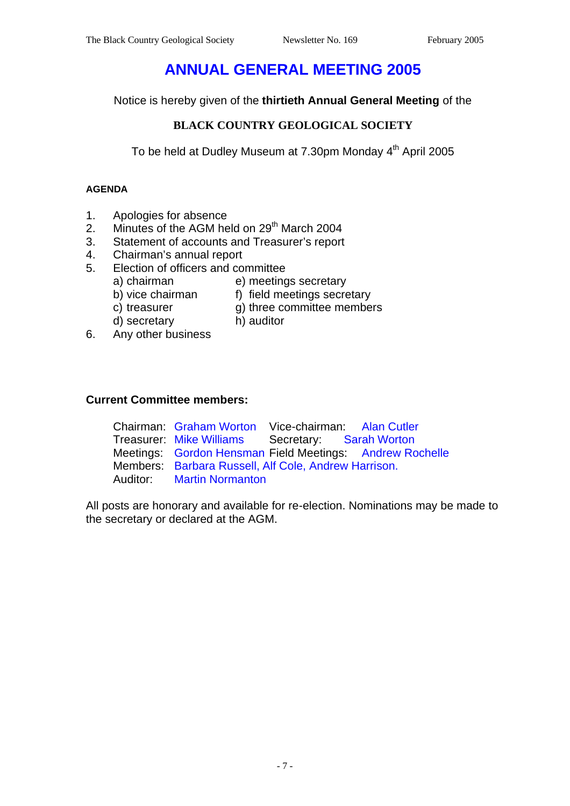# **ANNUAL GENERAL MEETING 2005**

Notice is hereby given of the **thirtieth Annual General Meeting** of the

### **BLACK COUNTRY GEOLOGICAL SOCIETY**

To be held at Dudley Museum at 7.30pm Monday 4<sup>th</sup> April 2005

### **AGENDA**

- 1. Apologies for absence
- 2. Minutes of the AGM held on 29<sup>th</sup> March 2004
- 3. Statement of accounts and Treasurer's report
- 4. Chairman's annual report
- 5. Election of officers and committee
	-
	- a) chairman e) meetings secretary<br>b) vice chairman f) field meetings secre f) field meetings secretary
		-
	- c) treasurer g) three committee members
	-
	- d) secretary h) auditor
- 6. Any other business

### **Current Committee members:**

Chairman: Graham Worton Vice-chairman: Alan Cutler Treasurer: Mike Williams Secretary: Sarah Worton Meetings: Gordon Hensman Field Meetings: Andrew Rochelle Members: Barbara Russell, Alf Cole, Andrew Harrison. Auditor: Martin Normanton

All posts are honorary and available for re-election. Nominations may be made to the secretary or declared at the AGM.